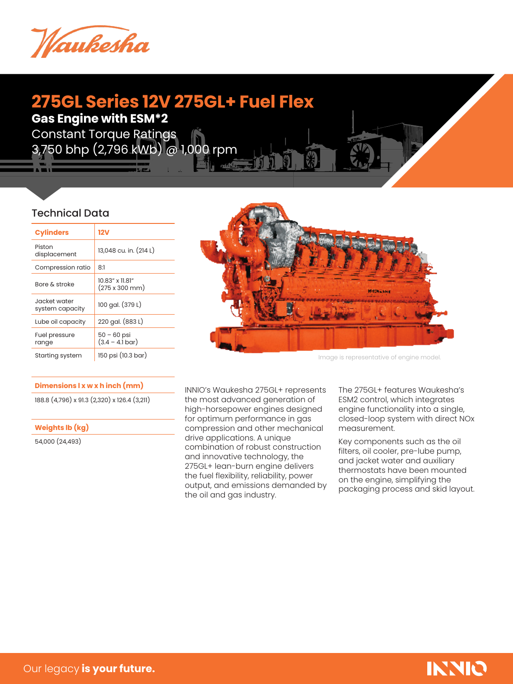

# **275GL Series 12V 275GL+ Fuel Flex Gas Engine with ESM\*2**

Constant Torque Ratings 3,750 bhp (2,796 kWb) @ 1,000 rpm

## Technical Data

| <b>Cylinders</b>                | 12V                                                    |
|---------------------------------|--------------------------------------------------------|
| Piston<br>displacement          | 13,048 cu. in. (214 L)                                 |
| Compression ratio               | 8:1                                                    |
| Bore & stroke                   | $10.83''$ x $11.81''$<br>$(275 \times 300 \text{ mm})$ |
| Jacket water<br>system capacity | 100 gal. (379 L)                                       |
| Lube oil capacity               | 220 gal. (883 L)                                       |
| Fuel pressure<br>range          | $50 - 60$ psi<br>$(3.4 - 4.1 \text{ bar})$             |
| Starting system                 | 150 psi (10.3 bar)                                     |

#### **Dimensions l x w x h inch (mm)**

188.8 (4,796) x 91.3 (2,320) x 126.4 (3,211)

**Weights lb (kg)**

54,000 (24,493)



Image is representative of engine model.

INNIO's Waukesha 275GL+ represents the most advanced generation of high-horsepower engines designed for optimum performance in gas compression and other mechanical drive applications. A unique combination of robust construction and innovative technology, the 275GL+ lean-burn engine delivers the fuel flexibility, reliability, power output, and emissions demanded by the oil and gas industry.

The 275GL+ features Waukesha's ESM2 control, which integrates engine functionality into a single, closed-loop system with direct NOx measurement.

Key components such as the oil filters, oil cooler, pre-lube pump, and jacket water and auxiliary thermostats have been mounted on the engine, simplifying the packaging process and skid layout.